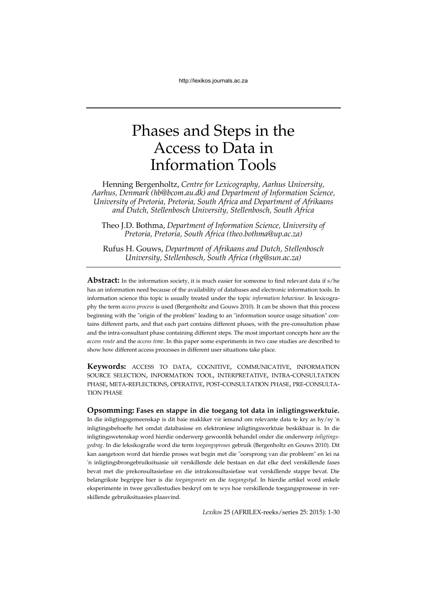# Phases and Steps in the Access to Data in Information Tools

Henning Bergenholtz, *Centre for Lexicography, Aarhus University, Aarhus, Denmark (hb@bcom.au.dk) and Department of Information Science, University of Pretoria, Pretoria, South Africa and Department of Afrikaans and Dutch, Stellenbosch University, Stellenbosch, South Africa*

Theo J.D. Bothma, *Department of Information Science, University of Pretoria, Pretoria, South Africa (theo.bothma@up.ac.za)*

Rufus H. Gouws, *Department of Afrikaans and Dutch, Stellenbosch University, Stellenbosch, South Africa (rhg@sun.ac.za)*

**Abstract:** In the information society, it is much easier for someone to find relevant data if s/he has an information need because of the availability of databases and electronic information tools. In information science this topic is usually treated under the topic *information behaviour*. In lexicography the term *access process* is used (Bergenholtz and Gouws 2010). It can be shown that this process beginning with the "origin of the problem" leading to an "information source usage situation" contains different parts, and that each part contains different phases, with the pre-consultation phase and the intra-consultant phase containing different steps. The most important concepts here are the *access route* and the *access time*. In this paper some experiments in two case studies are described to show how different access processes in different user situations take place.

**Keywords:** ACCESS TO DATA, COGNITIVE, COMMUNICATIVE, INFORMATION SOURCE SELECTION, INFORMATION TOOL, INTERPRETATIVE, INTRA-CONSULTATION PHASE, META-REFLECTIONS, OPERATIVE, POST-CONSULTATION PHASE, PRE-CONSULTA-TION PHASE

## **Opsomming: Fases en stappe in die toegang tot data in inligtingswerktuie.**

In die inligtingsgemeenskap is dit baie makliker vir iemand om relevante data te kry as hy/sy 'n inligtingsbehoefte het omdat databasisse en elektroniese inligtingswerktuie beskikbaar is. In die inligtingswetenskap word hierdie onderwerp gewoonlik behandel onder die onderwerp *inligtingsgedrag*. In die leksikografie word die term *toegangsproses* gebruik (Bergenholtz en Gouws 2010). Dit kan aangetoon word dat hierdie proses wat begin met die "oorsprong van die probleem" en lei na 'n inligtingsbrongebruiksituasie uit verskillende dele bestaan en dat elke deel verskillende fases bevat met die prekonsultasiefase en die intrakonsultasiefase wat verskillende stappe bevat. Die belangrikste begrippe hier is die *toegangsroete* en die *toegangstyd*. In hierdie artikel word enkele eksperimente in twee gevallestudies beskryf om te wys hoe verskillende toegangsprosesse in verskillende gebruiksituasies plaasvind.

*Lexikos* 25 (AFRILEX-reeks/series 25: 2015): 1-30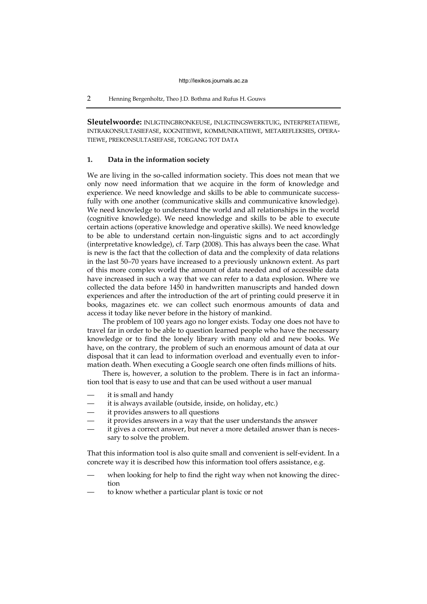**Sleutelwoorde:** INLIGTINGBRONKEUSE, INLIGTINGSWERKTUIG, INTERPRETATIEWE, INTRAKONSULTASIEFASE, KOGNITIEWE, KOMMUNIKATIEWE, METAREFLEKSIES, OPERA-TIEWE, PREKONSULTASIEFASE, TOEGANG TOT DATA

## **1. Data in the information society**

We are living in the so-called information society. This does not mean that we only now need information that we acquire in the form of knowledge and experience. We need knowledge and skills to be able to communicate successfully with one another (communicative skills and communicative knowledge). We need knowledge to understand the world and all relationships in the world (cognitive knowledge). We need knowledge and skills to be able to execute certain actions (operative knowledge and operative skills). We need knowledge to be able to understand certain non-linguistic signs and to act accordingly (interpretative knowledge), cf. Tarp (2008). This has always been the case. What is new is the fact that the collection of data and the complexity of data relations in the last 50–70 years have increased to a previously unknown extent. As part of this more complex world the amount of data needed and of accessible data have increased in such a way that we can refer to a data explosion. Where we collected the data before 1450 in handwritten manuscripts and handed down experiences and after the introduction of the art of printing could preserve it in books, magazines etc. we can collect such enormous amounts of data and access it today like never before in the history of mankind.

The problem of 100 years ago no longer exists. Today one does not have to travel far in order to be able to question learned people who have the necessary knowledge or to find the lonely library with many old and new books. We have, on the contrary, the problem of such an enormous amount of data at our disposal that it can lead to information overload and eventually even to information death. When executing a Google search one often finds millions of hits.

There is, however, a solution to the problem. There is in fact an information tool that is easy to use and that can be used without a user manual

- it is small and handy
- it is always available (outside, inside, on holiday, etc.)
- it provides answers to all questions
- it provides answers in a way that the user understands the answer
- it gives a correct answer, but never a more detailed answer than is necessary to solve the problem.

That this information tool is also quite small and convenient is self-evident. In a concrete way it is described how this information tool offers assistance, e.g.

- when looking for help to find the right way when not knowing the direction
- to know whether a particular plant is toxic or not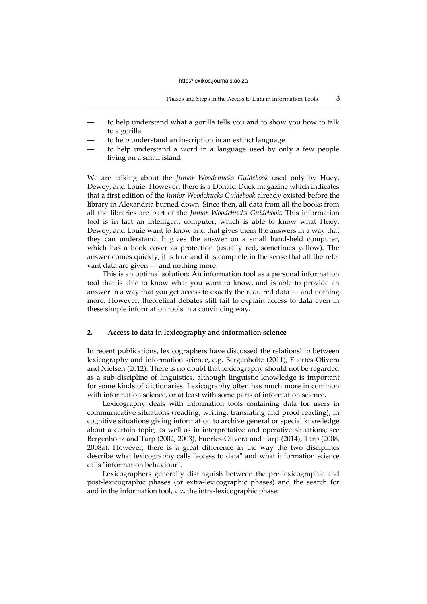- to help understand what a gorilla tells you and to show you how to talk to a gorilla
- to help understand an inscription in an extinct language
- to help understand a word in a language used by only a few people living on a small island

We are talking about the *Junior Woodchucks Guidebook* used only by Huey, Dewey, and Louie. However, there is a Donald Duck magazine which indicates that a first edition of the *Junior Woodchucks Guidebook* already existed before the library in Alexandria burned down. Since then, all data from all the books from all the libraries are part of the *Junior Woodchucks Guidebook*. This information tool is in fact an intelligent computer, which is able to know what Huey, Dewey, and Louie want to know and that gives them the answers in a way that they can understand. It gives the answer on a small hand-held computer, which has a book cover as protection (usually red, sometimes yellow). The answer comes quickly, it is true and it is complete in the sense that all the relevant data are given — and nothing more.

This is an optimal solution: An information tool as a personal information tool that is able to know what you want to know, and is able to provide an answer in a way that you get access to exactly the required data — and nothing more. However, theoretical debates still fail to explain access to data even in these simple information tools in a convincing way.

# **2. Access to data in lexicography and information science**

In recent publications, lexicographers have discussed the relationship between lexicography and information science, e.g. Bergenholtz (2011), Fuertes-Olivera and Nielsen (2012). There is no doubt that lexicography should not be regarded as a sub-discipline of linguistics, although linguistic knowledge is important for some kinds of dictionaries. Lexicography often has much more in common with information science, or at least with some parts of information science.

Lexicography deals with information tools containing data for users in communicative situations (reading, writing, translating and proof reading), in cognitive situations giving information to archive general or special knowledge about a certain topic, as well as in interpretative and operative situations; see Bergenholtz and Tarp (2002, 2003), Fuertes-Olivera and Tarp (2014), Tarp (2008, 2008a). However, there is a great difference in the way the two disciplines describe what lexicography calls "access to data" and what information science calls "information behaviour".

Lexicographers generally distinguish between the pre-lexicographic and post-lexicographic phases (or extra-lexicographic phases) and the search for and in the information tool, viz. the intra-lexicographic phase: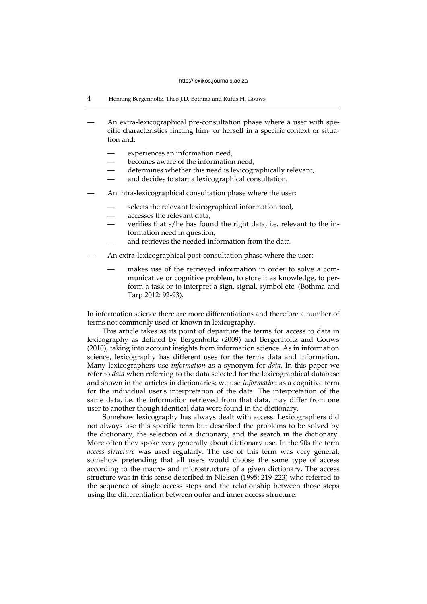- 4 Henning Bergenholtz, Theo J.D. Bothma and Rufus H. Gouws
- An extra-lexicographical pre-consultation phase where a user with specific characteristics finding him- or herself in a specific context or situation and:
	- experiences an information need,
	- becomes aware of the information need,
	- determines whether this need is lexicographically relevant,
	- and decides to start a lexicographical consultation.
- An intra-lexicographical consultation phase where the user:
	- selects the relevant lexicographical information tool,
	- accesses the relevant data,
	- verifies that s/he has found the right data, i.e. relevant to the information need in question,
	- and retrieves the needed information from the data.
- An extra-lexicographical post-consultation phase where the user:
	- makes use of the retrieved information in order to solve a communicative or cognitive problem, to store it as knowledge, to perform a task or to interpret a sign, signal, symbol etc. (Bothma and Tarp 2012: 92-93).

In information science there are more differentiations and therefore a number of terms not commonly used or known in lexicography.

This article takes as its point of departure the terms for access to data in lexicography as defined by Bergenholtz (2009) and Bergenholtz and Gouws (2010), taking into account insights from information science. As in information science, lexicography has different uses for the terms data and information. Many lexicographers use *information* as a synonym for *data*. In this paper we refer to *data* when referring to the data selected for the lexicographical database and shown in the articles in dictionaries; we use *information* as a cognitive term for the individual user's interpretation of the data. The interpretation of the same data, i.e. the information retrieved from that data, may differ from one user to another though identical data were found in the dictionary.

Somehow lexicography has always dealt with access. Lexicographers did not always use this specific term but described the problems to be solved by the dictionary, the selection of a dictionary, and the search in the dictionary. More often they spoke very generally about dictionary use. In the 90s the term *access structure* was used regularly. The use of this term was very general, somehow pretending that all users would choose the same type of access according to the macro- and microstructure of a given dictionary. The access structure was in this sense described in Nielsen (1995: 219-223) who referred to the sequence of single access steps and the relationship between those steps using the differentiation between outer and inner access structure: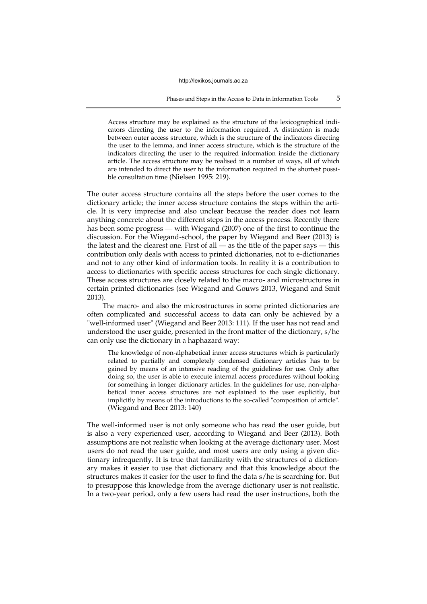**Phases and Steps in the Access to Data in Information Tools 5** 

Access structure may be explained as the structure of the lexicographical indicators directing the user to the information required. A distinction is made between outer access structure, which is the structure of the indicators directing the user to the lemma, and inner access structure, which is the structure of the indicators directing the user to the required information inside the dictionary article. The access structure may be realised in a number of ways, all of which are intended to direct the user to the information required in the shortest possible consultation time (Nielsen 1995: 219).

The outer access structure contains all the steps before the user comes to the dictionary article; the inner access structure contains the steps within the article. It is very imprecise and also unclear because the reader does not learn anything concrete about the different steps in the access process. Recently there has been some progress — with Wiegand (2007) one of the first to continue the discussion. For the Wiegand-school, the paper by Wiegand and Beer (2013) is the latest and the clearest one. First of all — as the title of the paper says — this contribution only deals with access to printed dictionaries, not to e-dictionaries and not to any other kind of information tools. In reality it is a contribution to access to dictionaries with specific access structures for each single dictionary. These access structures are closely related to the macro- and microstructures in certain printed dictionaries (see Wiegand and Gouws 2013, Wiegand and Smit 2013).

The macro- and also the microstructures in some printed dictionaries are often complicated and successful access to data can only be achieved by a "well-informed user" (Wiegand and Beer 2013: 111). If the user has not read and understood the user guide, presented in the front matter of the dictionary, s/he can only use the dictionary in a haphazard way:

The knowledge of non-alphabetical inner access structures which is particularly related to partially and completely condensed dictionary articles has to be gained by means of an intensive reading of the guidelines for use. Only after doing so, the user is able to execute internal access procedures without looking for something in longer dictionary articles. In the guidelines for use, non-alphabetical inner access structures are not explained to the user explicitly, but implicitly by means of the introductions to the so-called "composition of article". (Wiegand and Beer 2013: 140)

The well-informed user is not only someone who has read the user guide, but is also a very experienced user, according to Wiegand and Beer (2013). Both assumptions are not realistic when looking at the average dictionary user. Most users do not read the user guide, and most users are only using a given dictionary infrequently. It is true that familiarity with the structures of a dictionary makes it easier to use that dictionary and that this knowledge about the structures makes it easier for the user to find the data s/he is searching for. But to presuppose this knowledge from the average dictionary user is not realistic. In a two-year period, only a few users had read the user instructions, both the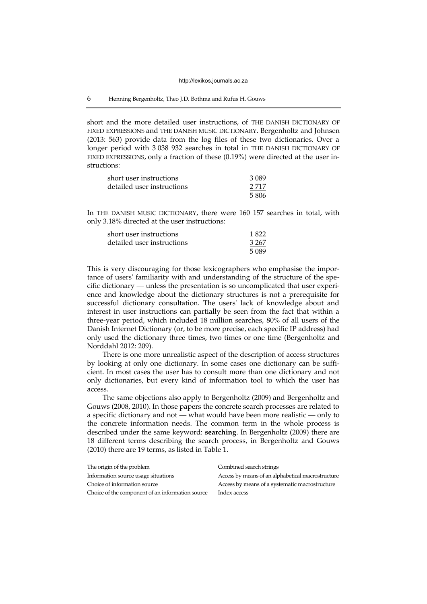## 6 Henning Bergenholtz, Theo J.D. Bothma and Rufus H. Gouws

short and the more detailed user instructions, of THE DANISH DICTIONARY OF FIXED EXPRESSIONS and THE DANISH MUSIC DICTIONARY. Bergenholtz and Johnsen (2013: 563) provide data from the log files of these two dictionaries. Over a longer period with 3 038 932 searches in total in THE DANISH DICTIONARY OF FIXED EXPRESSIONS, only a fraction of these (0.19%) were directed at the user instructions:

| short user instructions    | 3 0 8 9 |
|----------------------------|---------|
| detailed user instructions | 2.717   |
|                            | 5806    |

In THE DANISH MUSIC DICTIONARY, there were 160 157 searches in total, with only 3.18% directed at the user instructions:

| short user instructions    | 1822    |
|----------------------------|---------|
| detailed user instructions | 3 2 6 7 |
|                            | 5089    |

This is very discouraging for those lexicographers who emphasise the importance of users' familiarity with and understanding of the structure of the specific dictionary — unless the presentation is so uncomplicated that user experience and knowledge about the dictionary structures is not a prerequisite for successful dictionary consultation. The users' lack of knowledge about and interest in user instructions can partially be seen from the fact that within a three-year period, which included 18 million searches, 80% of all users of the Danish Internet Dictionary (or, to be more precise, each specific IP address) had only used the dictionary three times, two times or one time (Bergenholtz and Norddahl 2012: 209).

There is one more unrealistic aspect of the description of access structures by looking at only one dictionary. In some cases one dictionary can be sufficient. In most cases the user has to consult more than one dictionary and not only dictionaries, but every kind of information tool to which the user has access.

The same objections also apply to Bergenholtz (2009) and Bergenholtz and Gouws (2008, 2010). In those papers the concrete search processes are related to a specific dictionary and not — what would have been more realistic — only to the concrete information needs. The common term in the whole process is described under the same keyword: **searching**. In Bergenholtz (2009) there are 18 different terms describing the search process, in Bergenholtz and Gouws (2010) there are 19 terms, as listed in Table 1.

| The origin of the problem                        | Combined search strings                           |
|--------------------------------------------------|---------------------------------------------------|
| Information source usage situations              | Access by means of an alphabetical macrostructure |
| Choice of information source                     | Access by means of a systematic macrostructure    |
| Choice of the component of an information source | Index access                                      |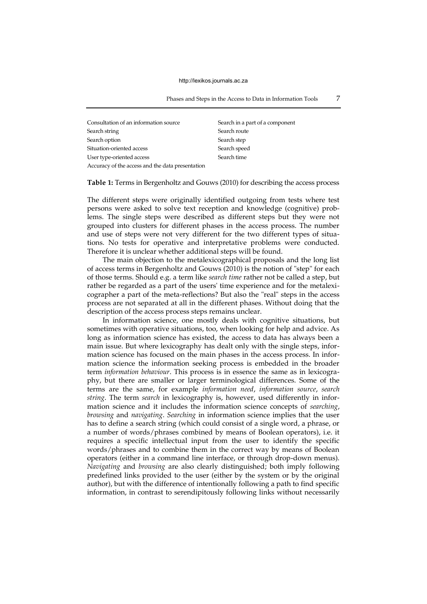**Phases and Steps in the Access to Data in Information Tools 7** 

| Consultation of an information source            | Search in a part of a component |
|--------------------------------------------------|---------------------------------|
| Search string                                    | Search route                    |
| Search option                                    | Search step                     |
| Situation-oriented access                        | Search speed                    |
| User type-oriented access                        | Search time                     |
| Accuracy of the access and the data presentation |                                 |

**Table 1:** Terms in Bergenholtz and Gouws (2010) for describing the access process

The different steps were originally identified outgoing from tests where test persons were asked to solve text reception and knowledge (cognitive) problems. The single steps were described as different steps but they were not grouped into clusters for different phases in the access process. The number and use of steps were not very different for the two different types of situations. No tests for operative and interpretative problems were conducted. Therefore it is unclear whether additional steps will be found.

The main objection to the metalexicographical proposals and the long list of access terms in Bergenholtz and Gouws (2010) is the notion of "step" for each of those terms. Should e.g. a term like *search time* rather not be called a step, but rather be regarded as a part of the users' time experience and for the metalexicographer a part of the meta-reflections? But also the "real" steps in the access process are not separated at all in the different phases. Without doing that the description of the access process steps remains unclear.

In information science, one mostly deals with cognitive situations, but sometimes with operative situations, too, when looking for help and advice. As long as information science has existed, the access to data has always been a main issue. But where lexicography has dealt only with the single steps, information science has focused on the main phases in the access process. In information science the information seeking process is embedded in the broader term *information behaviour*. This process is in essence the same as in lexicography, but there are smaller or larger terminological differences. Some of the terms are the same, for example *information need*, *information source*, *search string*. The term *search* in lexicography is, however, used differently in information science and it includes the information science concepts of *searching*, *browsing* and *navigating*. *Searching* in information science implies that the user has to define a search string (which could consist of a single word, a phrase, or a number of words/phrases combined by means of Boolean operators), i.e. it requires a specific intellectual input from the user to identify the specific words/phrases and to combine them in the correct way by means of Boolean operators (either in a command line interface, or through drop-down menus). *Navigating* and *browsing* are also clearly distinguished; both imply following predefined links provided to the user (either by the system or by the original author), but with the difference of intentionally following a path to find specific information, in contrast to serendipitously following links without necessarily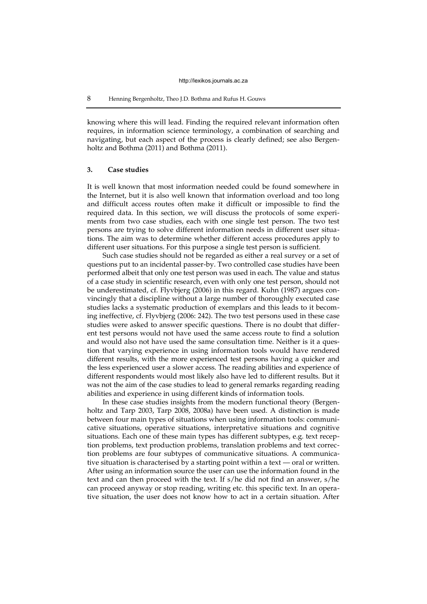# 8 Henning Bergenholtz, Theo J.D. Bothma and Rufus H. Gouws

knowing where this will lead. Finding the required relevant information often requires, in information science terminology, a combination of searching and navigating, but each aspect of the process is clearly defined; see also Bergenholtz and Bothma (2011) and Bothma (2011).

# **3. Case studies**

It is well known that most information needed could be found somewhere in the Internet, but it is also well known that information overload and too long and difficult access routes often make it difficult or impossible to find the required data. In this section, we will discuss the protocols of some experiments from two case studies, each with one single test person. The two test persons are trying to solve different information needs in different user situations. The aim was to determine whether different access procedures apply to different user situations. For this purpose a single test person is sufficient.

Such case studies should not be regarded as either a real survey or a set of questions put to an incidental passer-by. Two controlled case studies have been performed albeit that only one test person was used in each. The value and status of a case study in scientific research, even with only one test person, should not be underestimated, cf. Flyvbjerg (2006) in this regard. Kuhn (1987) argues convincingly that a discipline without a large number of thoroughly executed case studies lacks a systematic production of exemplars and this leads to it becoming ineffective, cf. Flyvbjerg (2006: 242). The two test persons used in these case studies were asked to answer specific questions. There is no doubt that different test persons would not have used the same access route to find a solution and would also not have used the same consultation time. Neither is it a question that varying experience in using information tools would have rendered different results, with the more experienced test persons having a quicker and the less experienced user a slower access. The reading abilities and experience of different respondents would most likely also have led to different results. But it was not the aim of the case studies to lead to general remarks regarding reading abilities and experience in using different kinds of information tools.

In these case studies insights from the modern functional theory (Bergenholtz and Tarp 2003, Tarp 2008, 2008a) have been used. A distinction is made between four main types of situations when using information tools: communicative situations, operative situations, interpretative situations and cognitive situations. Each one of these main types has different subtypes, e.g. text reception problems, text production problems, translation problems and text correction problems are four subtypes of communicative situations. A communicative situation is characterised by a starting point within a text — oral or written. After using an information source the user can use the information found in the text and can then proceed with the text. If s/he did not find an answer, s/he can proceed anyway or stop reading, writing etc. this specific text. In an operative situation, the user does not know how to act in a certain situation. After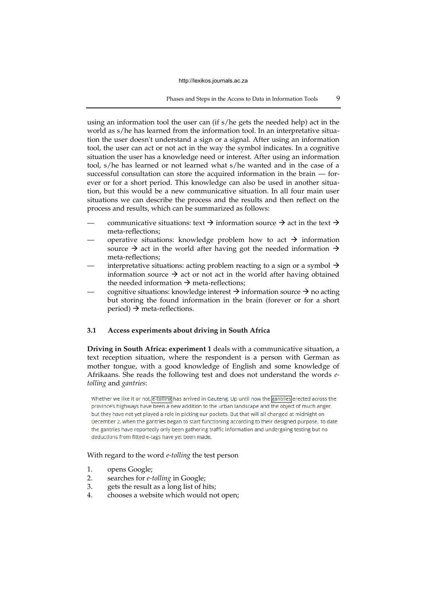Phases and Steps in the Access to Data in Information Tools 9

using an information tool the user can (if s/he gets the needed help) act in the world as s/he has learned from the information tool. In an interpretative situation the user doesn't understand a sign or a signal. After using an information tool, the user can act or not act in the way the symbol indicates. In a cognitive situation the user has a knowledge need or interest. After using an information tool, s/he has learned or not learned what s/he wanted and in the case of a successful consultation can store the acquired information in the brain — forever or for a short period. This knowledge can also be used in another situation, but this would be a new communicative situation. In all four main user situations we can describe the process and the results and then reflect on the process and results, which can be summarized as follows:

- communicative situations: text  $\rightarrow$  information source  $\rightarrow$  act in the text  $\rightarrow$ meta-reflections;
- operative situations: knowledge problem how to act  $\rightarrow$  information source  $\rightarrow$  act in the world after having got the needed information  $\rightarrow$ meta-reflections;
- interpretative situations: acting problem reacting to a sign or a symbol  $\rightarrow$ information source  $\rightarrow$  act or not act in the world after having obtained the needed information  $\rightarrow$  meta-reflections;
- cognitive situations: knowledge interest  $\rightarrow$  information source  $\rightarrow$  no acting but storing the found information in the brain (forever or for a short  $period$ )  $\rightarrow$  meta-reflections.

# **3.1 Access experiments about driving in South Africa**

**Driving in South Africa: experiment 1** deals with a communicative situation, a text reception situation, where the respondent is a person with German as mother tongue, with a good knowledge of English and some knowledge of Afrikaans. She reads the following test and does not understand the words *etolling* and *gantries*:

Whether we like it or not, [e-tolling has arrived in Gauteng. Up until now the gantries] erected across the province's highways have been a new addition to the urban landscape and the object of much anger, but they have not yet played a role in picking our pockets. But that will all changed at midnight on December 2, when the gantries began to start functioning according to their designed purpose. To date the gantries have reportedly only been gathering traffic information and undergoing testing but no deductions from fitted e-tags have yet been made.

# With regard to the word *e-tolling* the test person

- 1. opens Google;
- 2. searches for *e-tolling* in Google;
- 3. gets the result as a long list of hits;
- 4. chooses a website which would not open;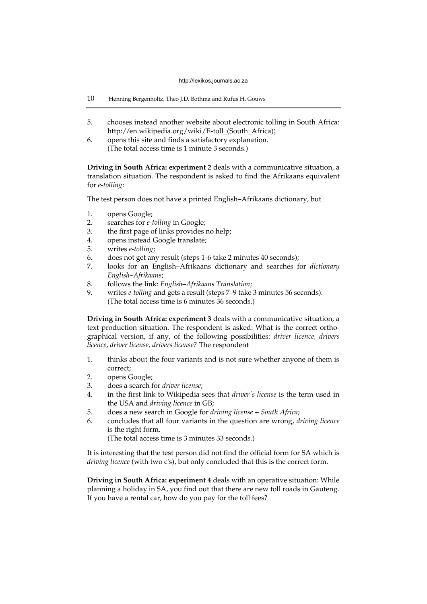- 10 Henning Bergenholtz, Theo J.D. Bothma and Rufus H. Gouws
- 5. chooses instead another website about electronic tolling in South Africa: http://en.wikipedia.org/wiki/E-toll\_(South\_Africa);
- 6. opens this site and finds a satisfactory explanation. (The total access time is 1 minute 3 seconds.)

**Driving in South Africa: experiment 2** deals with a communicative situation, a translation situation. The respondent is asked to find the Afrikaans equivalent for *e-tolling*:

The test person does not have a printed English–Afrikaans dictionary, but

- 1. opens Google;
- 2. searches for *e-tolling* in Google;
- 3. the first page of links provides no help;
- 4. opens instead Google translate;
- 5. writes *e-tolling*;
- 6. does not get any result (steps 1-6 take 2 minutes 40 seconds);
- 7. looks for an English–Afrikaans dictionary and searches for *dictionary English–Afrikaans*;
- 8. follows the link: *English–Afrikaans Translation*;
- 9. writes *e-tolling* and gets a result (steps 7–9 take 3 minutes 56 seconds). (The total access time is 6 minutes 36 seconds.)

**Driving in South Africa: experiment 3** deals with a communicative situation, a text production situation. The respondent is asked: What is the correct orthographical version, if any, of the following possibilities: *driver licence, drivers licence, driver license, drivers license?* The respondent

- 1. thinks about the four variants and is not sure whether anyone of them is correct;
- 2. opens Google;
- 3. does a search for *driver license*;
- 4. in the first link to Wikipedia sees that *driver's license* is the term used in the USA and *driving licence* in GB;
- 5. does a new search in Google for *driving license* + *South Africa*;
- 6. concludes that all four variants in the question are wrong, *driving licence* is the right form.

(The total access time is 3 minutes 33 seconds.)

It is interesting that the test person did not find the official form for SA which is *driving licence* (with two c's), but only concluded that this is the correct form.

**Driving in South Africa: experiment 4** deals with an operative situation: While planning a holiday in SA, you find out that there are new toll roads in Gauteng. If you have a rental car, how do you pay for the toll fees?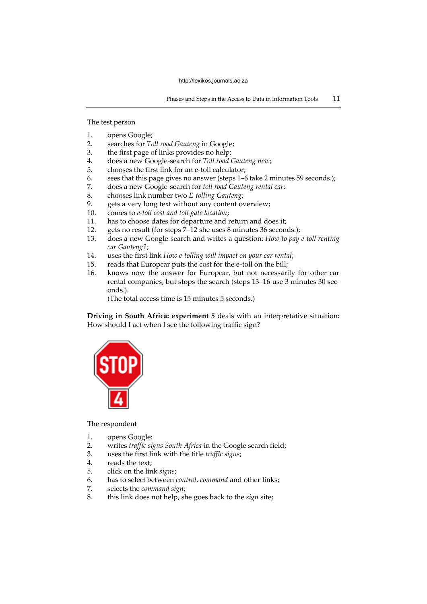The test person

- 1. opens Google;
- 2. searches for *Toll road Gauteng* in Google;
- 3. the first page of links provides no help;
- 4. does a new Google-search for *Toll road Gauteng new*;
- 5. chooses the first link for an e-toll calculator;
- 6. sees that this page gives no answer (steps 1–6 take 2 minutes 59 seconds.);
- 7. does a new Google-search for *toll road Gauteng rental car*;
- 8. chooses link number two *E-tolling Gauteng*;
- 9. gets a very long text without any content overview;
- 10. comes to *e-toll cost and toll gate location*;
- 11. has to choose dates for departure and return and does it;
- 12. gets no result (for steps 7–12 she uses 8 minutes 36 seconds.);
- 13. does a new Google-search and writes a question: *How to pay e-toll renting car Gauteng?*;
- 14. uses the first link *How e-tolling will impact on your car rental*;
- 15. reads that Europcar puts the cost for the e-toll on the bill;
- 16. knows now the answer for Europcar, but not necessarily for other car rental companies, but stops the search (steps 13–16 use 3 minutes 30 seconds.).
	- (The total access time is 15 minutes 5 seconds.)

**Driving in South Africa: experiment 5** deals with an interpretative situation: How should I act when I see the following traffic sign?



#### The respondent

- 1. opens Google:
- 2. writes *traffic signs South Africa* in the Google search field;
- 3. uses the first link with the title *traffic signs*;
- 4. reads the text;
- 5. click on the link *signs*;
- 6. has to select between *control*, *command* and other links;
- 7. selects the *command sign*;
- 8. this link does not help, she goes back to the *sign* site;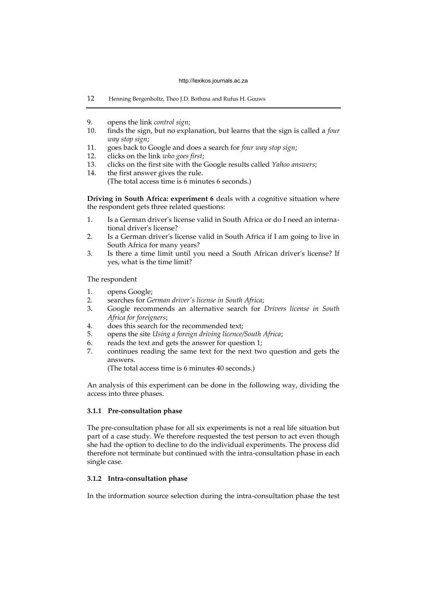- 12 Henning Bergenholtz, Theo J.D. Bothma and Rufus H. Gouws
- 9. opens the link *control sign*;
- finds the sign, but no explanation, but learns that the sign is called a *four way stop sign*;
- 11. goes back to Google and does a search for *four way stop sign*;
- 12. clicks on the link *who goes first*;
- 13. clicks on the first site with the Google results called *Yahoo answers*;
- 14. the first answer gives the rule. (The total access time is 6 minutes 6 seconds.)

**Driving in South Africa: experiment 6** deals with a cognitive situation where the respondent gets three related questions:

- 1. Is a German driver's license valid in South Africa or do I need an international driver's license?
- 2. Is a German driver's license valid in South Africa if I am going to live in South Africa for many years?
- 3. Is there a time limit until you need a South African driver's license? If yes, what is the time limit?

The respondent

- 1. opens Google;
- 2. searches for *German driver's license in South Africa*;
- 3. Google recommends an alternative search for *Drivers license in South Africa for foreigners*;
- 4. does this search for the recommended text;
- 5. opens the site *Using a foreign driving licence/South Africa*;
- 6. reads the text and gets the answer for question 1;<br>7 continues reading the same text for the next two
- 7. continues reading the same text for the next two question and gets the answers.

(The total access time is 6 minutes 40 seconds.)

An analysis of this experiment can be done in the following way, dividing the access into three phases.

## **3.1.1 Pre-consultation phase**

The pre-consultation phase for all six experiments is not a real life situation but part of a case study. We therefore requested the test person to act even though she had the option to decline to do the individual experiments. The process did therefore not terminate but continued with the intra-consultation phase in each single case.

# **3.1.2 Intra-consultation phase**

In the information source selection during the intra-consultation phase the test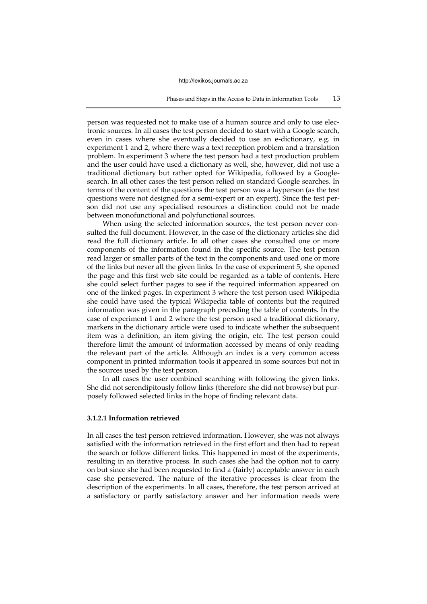## Phases and Steps in the Access to Data in Information Tools 13

person was requested not to make use of a human source and only to use electronic sources. In all cases the test person decided to start with a Google search, even in cases where she eventually decided to use an e-dictionary, e.g. in experiment 1 and 2, where there was a text reception problem and a translation problem. In experiment 3 where the test person had a text production problem and the user could have used a dictionary as well, she, however, did not use a traditional dictionary but rather opted for Wikipedia, followed by a Googlesearch. In all other cases the test person relied on standard Google searches. In terms of the content of the questions the test person was a layperson (as the test questions were not designed for a semi-expert or an expert). Since the test person did not use any specialised resources a distinction could not be made between monofunctional and polyfunctional sources.

When using the selected information sources, the test person never consulted the full document. However, in the case of the dictionary articles she did read the full dictionary article. In all other cases she consulted one or more components of the information found in the specific source. The test person read larger or smaller parts of the text in the components and used one or more of the links but never all the given links. In the case of experiment 5, she opened the page and this first web site could be regarded as a table of contents. Here she could select further pages to see if the required information appeared on one of the linked pages. In experiment 3 where the test person used Wikipedia she could have used the typical Wikipedia table of contents but the required information was given in the paragraph preceding the table of contents. In the case of experiment 1 and 2 where the test person used a traditional dictionary, markers in the dictionary article were used to indicate whether the subsequent item was a definition, an item giving the origin, etc. The test person could therefore limit the amount of information accessed by means of only reading the relevant part of the article. Although an index is a very common access component in printed information tools it appeared in some sources but not in the sources used by the test person.

In all cases the user combined searching with following the given links. She did not serendipitously follow links (therefore she did not browse) but purposely followed selected links in the hope of finding relevant data.

# **3.1.2.1 Information retrieved**

In all cases the test person retrieved information. However, she was not always satisfied with the information retrieved in the first effort and then had to repeat the search or follow different links. This happened in most of the experiments, resulting in an iterative process. In such cases she had the option not to carry on but since she had been requested to find a (fairly) acceptable answer in each case she persevered. The nature of the iterative processes is clear from the description of the experiments. In all cases, therefore, the test person arrived at a satisfactory or partly satisfactory answer and her information needs were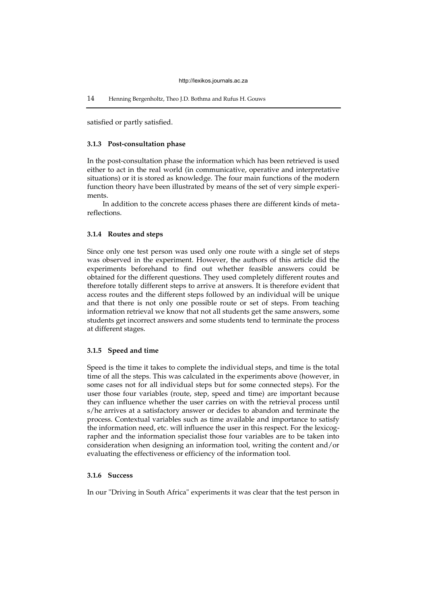#### 14 Henning Bergenholtz, Theo J.D. Bothma and Rufus H. Gouws

satisfied or partly satisfied.

## **3.1.3 Post-consultation phase**

In the post-consultation phase the information which has been retrieved is used either to act in the real world (in communicative, operative and interpretative situations) or it is stored as knowledge. The four main functions of the modern function theory have been illustrated by means of the set of very simple experiments.

In addition to the concrete access phases there are different kinds of metareflections.

#### **3.1.4 Routes and steps**

Since only one test person was used only one route with a single set of steps was observed in the experiment. However, the authors of this article did the experiments beforehand to find out whether feasible answers could be obtained for the different questions. They used completely different routes and therefore totally different steps to arrive at answers. It is therefore evident that access routes and the different steps followed by an individual will be unique and that there is not only one possible route or set of steps. From teaching information retrieval we know that not all students get the same answers, some students get incorrect answers and some students tend to terminate the process at different stages.

# **3.1.5 Speed and time**

Speed is the time it takes to complete the individual steps, and time is the total time of all the steps. This was calculated in the experiments above (however, in some cases not for all individual steps but for some connected steps). For the user those four variables (route, step, speed and time) are important because they can influence whether the user carries on with the retrieval process until s/he arrives at a satisfactory answer or decides to abandon and terminate the process. Contextual variables such as time available and importance to satisfy the information need, etc. will influence the user in this respect. For the lexicographer and the information specialist those four variables are to be taken into consideration when designing an information tool, writing the content and/or evaluating the effectiveness or efficiency of the information tool.

# **3.1.6 Success**

In our "Driving in South Africa" experiments it was clear that the test person in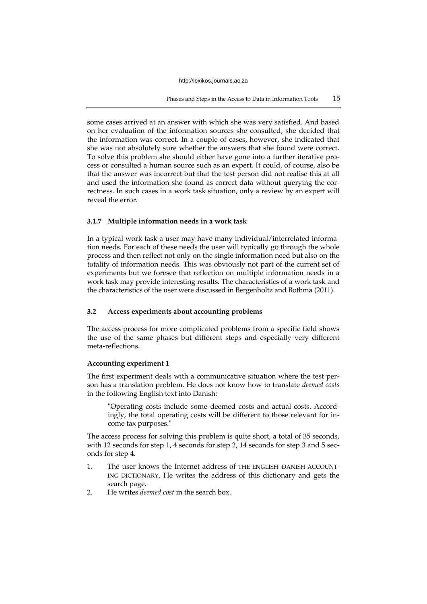Phases and Steps in the Access to Data in Information Tools 15

some cases arrived at an answer with which she was very satisfied. And based on her evaluation of the information sources she consulted, she decided that the information was correct. In a couple of cases, however, she indicated that she was not absolutely sure whether the answers that she found were correct. To solve this problem she should either have gone into a further iterative process or consulted a human source such as an expert. It could, of course, also be that the answer was incorrect but that the test person did not realise this at all and used the information she found as correct data without querying the correctness. In such cases in a work task situation, only a review by an expert will reveal the error.

# **3.1.7 Multiple information needs in a work task**

In a typical work task a user may have many individual/interrelated information needs. For each of these needs the user will typically go through the whole process and then reflect not only on the single information need but also on the totality of information needs. This was obviously not part of the current set of experiments but we foresee that reflection on multiple information needs in a work task may provide interesting results. The characteristics of a work task and the characteristics of the user were discussed in Bergenholtz and Bothma (2011).

# **3.2 Access experiments about accounting problems**

The access process for more complicated problems from a specific field shows the use of the same phases but different steps and especially very different meta-reflections.

# **Accounting experiment 1**

The first experiment deals with a communicative situation where the test person has a translation problem. He does not know how to translate *deemed costs* in the following English text into Danish:

"Operating costs include some deemed costs and actual costs. Accordingly, the total operating costs will be different to those relevant for income tax purposes."

The access process for solving this problem is quite short, a total of 35 seconds, with 12 seconds for step 1, 4 seconds for step 2, 14 seconds for step 3 and 5 seconds for step 4.

- 1. The user knows the Internet address of THE ENGLISH–DANISH ACCOUNT-ING DICTIONARY. He writes the address of this dictionary and gets the search page.
- 2. He writes *deemed cost* in the search box.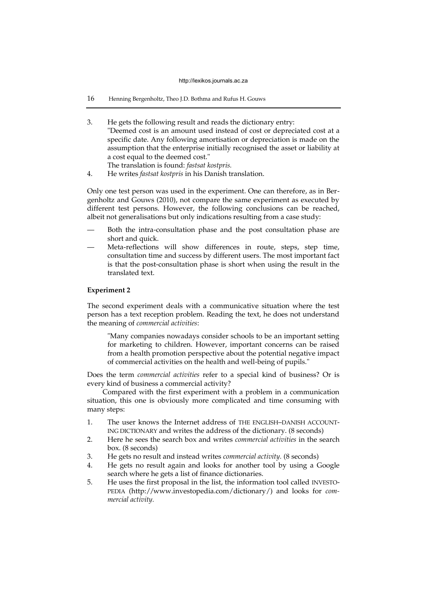- 16 Henning Bergenholtz, Theo J.D. Bothma and Rufus H. Gouws
- 3. He gets the following result and reads the dictionary entry: "Deemed cost is an amount used instead of cost or depreciated cost at a specific date. Any following amortisation or depreciation is made on the assumption that the enterprise initially recognised the asset or liability at a cost equal to the deemed cost." The translation is found: *fastsat kostpris.*
- 4. He writes *fastsat kostpris* in his Danish translation.

Only one test person was used in the experiment. One can therefore, as in Bergenholtz and Gouws (2010), not compare the same experiment as executed by different test persons. However, the following conclusions can be reached, albeit not generalisations but only indications resulting from a case study:

- Both the intra-consultation phase and the post consultation phase are short and quick.
- Meta-reflections will show differences in route, steps, step time, consultation time and success by different users. The most important fact is that the post-consultation phase is short when using the result in the translated text.

## **Experiment 2**

The second experiment deals with a communicative situation where the test person has a text reception problem. Reading the text, he does not understand the meaning of *commercial activities*:

"Many companies nowadays consider schools to be an important setting for marketing to children. However, important concerns can be raised from a health promotion perspective about the potential negative impact of commercial activities on the health and well-being of pupils."

Does the term *commercial activities* refer to a special kind of business? Or is every kind of business a commercial activity?

Compared with the first experiment with a problem in a communication situation, this one is obviously more complicated and time consuming with many steps:

- 1. The user knows the Internet address of THE ENGLISH–DANISH ACCOUNT-ING DICTIONARY and writes the address of the dictionary. (8 seconds)
- 2. Here he sees the search box and writes *commercial activities* in the search box. (8 seconds)
- 3. He gets no result and instead writes *commercial activity.* (8 seconds)
- 4. He gets no result again and looks for another tool by using a Google search where he gets a list of finance dictionaries.
- 5. He uses the first proposal in the list, the information tool called INVESTO-PEDIA (http://www.investopedia.com/dictionary/) and looks for *commercial activity.*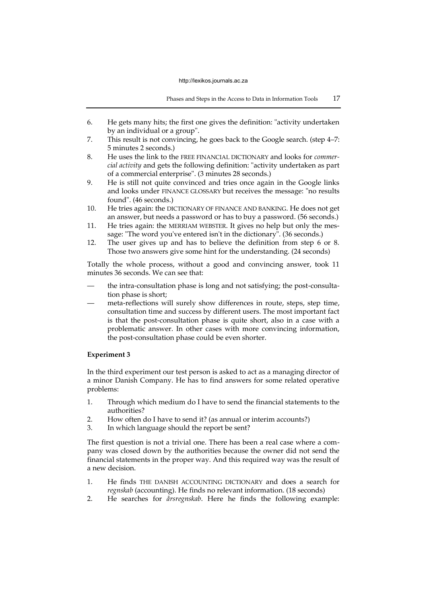- 6. He gets many hits; the first one gives the definition: "activity undertaken by an individual or a group".
- 7. This result is not convincing, he goes back to the Google search. (step 4–7: 5 minutes 2 seconds.)
- 8. He uses the link to the FREE FINANCIAL DICTIONARY and looks for *commercial activity* and gets the following definition: "activity undertaken as part of a commercial enterprise". (3 minutes 28 seconds.)
- 9. He is still not quite convinced and tries once again in the Google links and looks under FINANCE GLOSSARY but receives the message: "no results found". (46 seconds.)
- 10. He tries again: the DICTIONARY OF FINANCE AND BANKING. He does not get an answer, but needs a password or has to buy a password. (56 seconds.)
- 11. He tries again: the MERRIAM WEBSTER. It gives no help but only the message: "The word you've entered isn't in the dictionary". (36 seconds.)
- 12. The user gives up and has to believe the definition from step 6 or 8. Those two answers give some hint for the understanding. (24 seconds)

Totally the whole process, without a good and convincing answer, took 11 minutes 36 seconds. We can see that:

- the intra-consultation phase is long and not satisfying; the post-consultation phase is short;
- meta-reflections will surely show differences in route, steps, step time, consultation time and success by different users. The most important fact is that the post-consultation phase is quite short, also in a case with a problematic answer. In other cases with more convincing information, the post-consultation phase could be even shorter.

# **Experiment 3**

In the third experiment our test person is asked to act as a managing director of a minor Danish Company. He has to find answers for some related operative problems:

- 1. Through which medium do I have to send the financial statements to the authorities?
- 2. How often do I have to send it? (as annual or interim accounts?)
- 3. In which language should the report be sent?

The first question is not a trivial one. There has been a real case where a company was closed down by the authorities because the owner did not send the financial statements in the proper way. And this required way was the result of a new decision.

- 1. He finds THE DANISH ACCOUNTING DICTIONARY and does a search for *regnskab* (accounting). He finds no relevant information. (18 seconds)
- 2. He searches for *årsregnskab*. Here he finds the following example: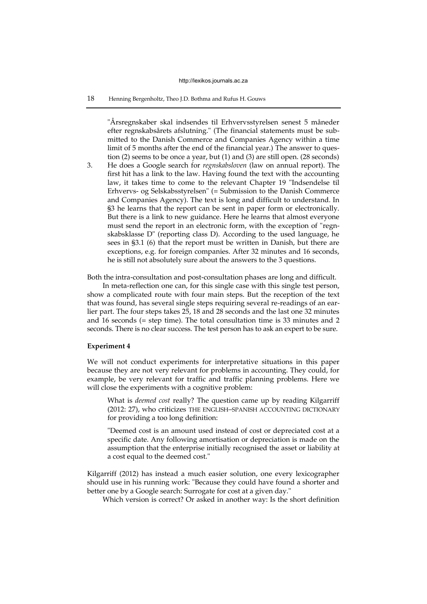# 18 Henning Bergenholtz, Theo J.D. Bothma and Rufus H. Gouws

"Årsregnskaber skal indsendes til Erhvervsstyrelsen senest 5 måneder efter regnskabsårets afslutning." (The financial statements must be submitted to the Danish Commerce and Companies Agency within a time limit of 5 months after the end of the financial year.) The answer to question (2) seems to be once a year, but (1) and (3) are still open. (28 seconds)

3. He does a Google search for *regnskabsloven* (law on annual report). The first hit has a link to the law. Having found the text with the accounting law, it takes time to come to the relevant Chapter 19 "Indsendelse til Erhvervs- og Selskabsstyrelsen" (= Submission to the Danish Commerce and Companies Agency). The text is long and difficult to understand. In §3 he learns that the report can be sent in paper form or electronically. But there is a link to new guidance. Here he learns that almost everyone must send the report in an electronic form, with the exception of "regnskabsklasse D" (reporting class D). According to the used language, he sees in §3.1 (6) that the report must be written in Danish, but there are exceptions, e.g. for foreign companies. After 32 minutes and 16 seconds, he is still not absolutely sure about the answers to the 3 questions.

Both the intra-consultation and post-consultation phases are long and difficult.

In meta-reflection one can, for this single case with this single test person, show a complicated route with four main steps. But the reception of the text that was found, has several single steps requiring several re-readings of an earlier part. The four steps takes 25, 18 and 28 seconds and the last one 32 minutes and 16 seconds (= step time). The total consultation time is 33 minutes and 2 seconds. There is no clear success. The test person has to ask an expert to be sure.

## **Experiment 4**

We will not conduct experiments for interpretative situations in this paper because they are not very relevant for problems in accounting. They could, for example, be very relevant for traffic and traffic planning problems. Here we will close the experiments with a cognitive problem:

What is *deemed cost* really? The question came up by reading Kilgarriff (2012: 27), who criticizes THE ENGLISH–SPANISH ACCOUNTING DICTIONARY for providing a too long definition:

"Deemed cost is an amount used instead of cost or depreciated cost at a specific date. Any following amortisation or depreciation is made on the assumption that the enterprise initially recognised the asset or liability at a cost equal to the deemed cost."

Kilgarriff (2012) has instead a much easier solution, one every lexicographer should use in his running work: "Because they could have found a shorter and better one by a Google search: Surrogate for cost at a given day."

Which version is correct? Or asked in another way: Is the short definition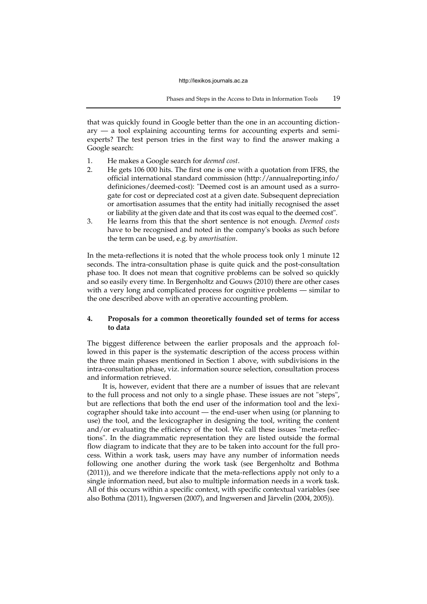that was quickly found in Google better than the one in an accounting diction $ary - a$  tool explaining accounting terms for accounting experts and semiexperts? The test person tries in the first way to find the answer making a Google search:

- 1. He makes a Google search for *deemed cost*.
- 2. He gets 106 000 hits. The first one is one with a quotation from IFRS, the official international standard commission (http://annualreporting.info/ definiciones/deemed-cost): "Deemed cost is an amount used as a surrogate for cost or depreciated cost at a given date. Subsequent depreciation or amortisation assumes that the entity had initially recognised the asset or liability at the given date and that its cost was equal to the deemed cost".
- 3. He learns from this that the short sentence is not enough. *Deemed costs* have to be recognised and noted in the company's books as such before the term can be used, e.g. by *amortisation*.

In the meta-reflections it is noted that the whole process took only 1 minute 12 seconds. The intra-consultation phase is quite quick and the post-consultation phase too. It does not mean that cognitive problems can be solved so quickly and so easily every time. In Bergenholtz and Gouws (2010) there are other cases with a very long and complicated process for cognitive problems — similar to the one described above with an operative accounting problem.

# **4. Proposals for a common theoretically founded set of terms for access to data**

The biggest difference between the earlier proposals and the approach followed in this paper is the systematic description of the access process within the three main phases mentioned in Section 1 above, with subdivisions in the intra-consultation phase, viz. information source selection, consultation process and information retrieved.

It is, however, evident that there are a number of issues that are relevant to the full process and not only to a single phase. These issues are not "steps", but are reflections that both the end user of the information tool and the lexicographer should take into account — the end-user when using (or planning to use) the tool, and the lexicographer in designing the tool, writing the content and/or evaluating the efficiency of the tool. We call these issues "meta-reflections". In the diagrammatic representation they are listed outside the formal flow diagram to indicate that they are to be taken into account for the full process. Within a work task, users may have any number of information needs following one another during the work task (see Bergenholtz and Bothma (2011)), and we therefore indicate that the meta-reflections apply not only to a single information need, but also to multiple information needs in a work task. All of this occurs within a specific context, with specific contextual variables (see also Bothma (2011), Ingwersen (2007), and Ingwersen and Järvelin (2004, 2005)).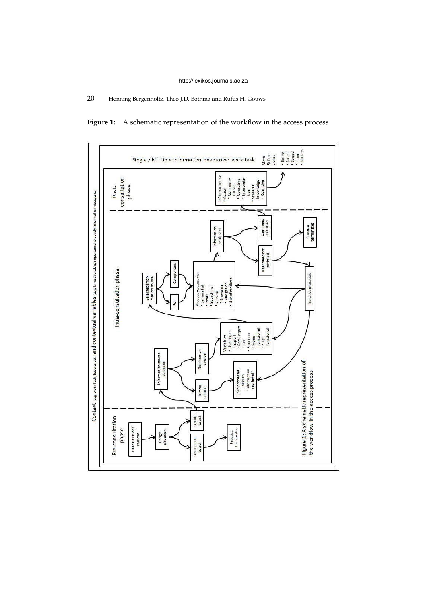

Figure 1: A schematic representation of the workflow in the access process

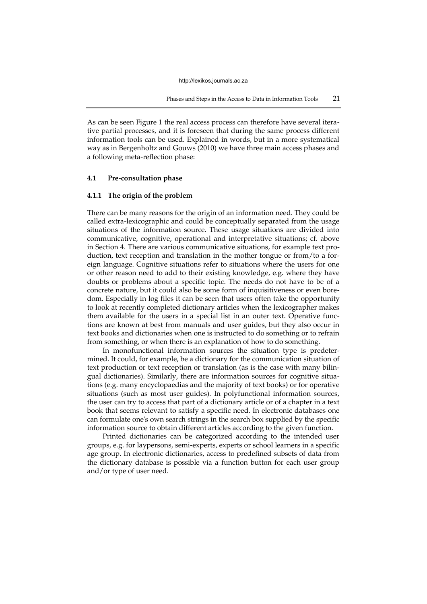As can be seen Figure 1 the real access process can therefore have several iterative partial processes, and it is foreseen that during the same process different information tools can be used. Explained in words, but in a more systematical way as in Bergenholtz and Gouws (2010) we have three main access phases and a following meta-reflection phase:

# **4.1 Pre-consultation phase**

# **4.1.1 The origin of the problem**

There can be many reasons for the origin of an information need. They could be called extra-lexicographic and could be conceptually separated from the usage situations of the information source. These usage situations are divided into communicative, cognitive, operational and interpretative situations; cf. above in Section 4. There are various communicative situations, for example text production, text reception and translation in the mother tongue or from/to a foreign language. Cognitive situations refer to situations where the users for one or other reason need to add to their existing knowledge, e.g. where they have doubts or problems about a specific topic. The needs do not have to be of a concrete nature, but it could also be some form of inquisitiveness or even boredom. Especially in log files it can be seen that users often take the opportunity to look at recently completed dictionary articles when the lexicographer makes them available for the users in a special list in an outer text. Operative functions are known at best from manuals and user guides, but they also occur in text books and dictionaries when one is instructed to do something or to refrain from something, or when there is an explanation of how to do something.

In monofunctional information sources the situation type is predetermined. It could, for example, be a dictionary for the communication situation of text production or text reception or translation (as is the case with many bilingual dictionaries). Similarly, there are information sources for cognitive situations (e.g. many encyclopaedias and the majority of text books) or for operative situations (such as most user guides). In polyfunctional information sources, the user can try to access that part of a dictionary article or of a chapter in a text book that seems relevant to satisfy a specific need. In electronic databases one can formulate one's own search strings in the search box supplied by the specific information source to obtain different articles according to the given function.

Printed dictionaries can be categorized according to the intended user groups, e.g. for laypersons, semi-experts, experts or school learners in a specific age group. In electronic dictionaries, access to predefined subsets of data from the dictionary database is possible via a function button for each user group and/or type of user need.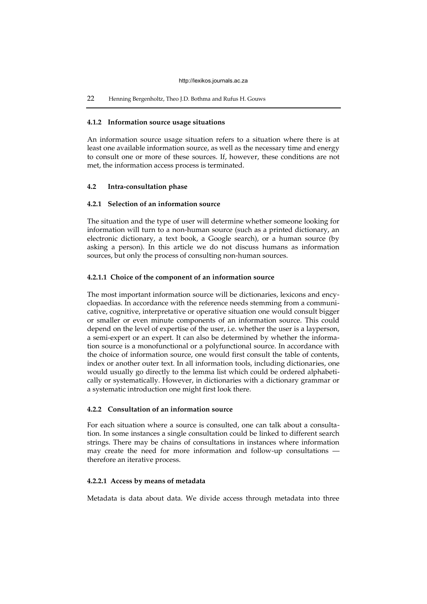# 22 Henning Bergenholtz, Theo J.D. Bothma and Rufus H. Gouws

# **4.1.2 Information source usage situations**

An information source usage situation refers to a situation where there is at least one available information source, as well as the necessary time and energy to consult one or more of these sources. If, however, these conditions are not met, the information access process is terminated.

# **4.2 Intra-consultation phase**

# **4.2.1 Selection of an information source**

The situation and the type of user will determine whether someone looking for information will turn to a non-human source (such as a printed dictionary, an electronic dictionary, a text book, a Google search), or a human source (by asking a person). In this article we do not discuss humans as information sources, but only the process of consulting non-human sources.

# **4.2.1.1 Choice of the component of an information source**

The most important information source will be dictionaries, lexicons and encyclopaedias. In accordance with the reference needs stemming from a communicative, cognitive, interpretative or operative situation one would consult bigger or smaller or even minute components of an information source. This could depend on the level of expertise of the user, i.e. whether the user is a layperson, a semi-expert or an expert. It can also be determined by whether the information source is a monofunctional or a polyfunctional source. In accordance with the choice of information source, one would first consult the table of contents, index or another outer text. In all information tools, including dictionaries, one would usually go directly to the lemma list which could be ordered alphabetically or systematically. However, in dictionaries with a dictionary grammar or a systematic introduction one might first look there.

# **4.2.2 Consultation of an information source**

For each situation where a source is consulted, one can talk about a consultation. In some instances a single consultation could be linked to different search strings. There may be chains of consultations in instances where information may create the need for more information and follow-up consultations therefore an iterative process.

# **4.2.2.1 Access by means of metadata**

Metadata is data about data. We divide access through metadata into three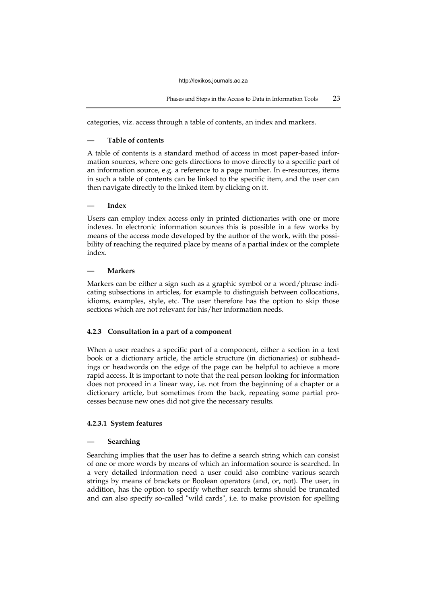categories, viz. access through a table of contents, an index and markers.

# **— Table of contents**

A table of contents is a standard method of access in most paper-based information sources, where one gets directions to move directly to a specific part of an information source, e.g. a reference to a page number. In e-resources, items in such a table of contents can be linked to the specific item, and the user can then navigate directly to the linked item by clicking on it.

# **— Index**

Users can employ index access only in printed dictionaries with one or more indexes. In electronic information sources this is possible in a few works by means of the access mode developed by the author of the work, with the possibility of reaching the required place by means of a partial index or the complete index.

# **— Markers**

Markers can be either a sign such as a graphic symbol or a word/phrase indicating subsections in articles, for example to distinguish between collocations, idioms, examples, style, etc. The user therefore has the option to skip those sections which are not relevant for his/her information needs.

# **4.2.3 Consultation in a part of a component**

When a user reaches a specific part of a component, either a section in a text book or a dictionary article, the article structure (in dictionaries) or subheadings or headwords on the edge of the page can be helpful to achieve a more rapid access. It is important to note that the real person looking for information does not proceed in a linear way, i.e. not from the beginning of a chapter or a dictionary article, but sometimes from the back, repeating some partial processes because new ones did not give the necessary results.

# **4.2.3.1 System features**

# **— Searching**

Searching implies that the user has to define a search string which can consist of one or more words by means of which an information source is searched. In a very detailed information need a user could also combine various search strings by means of brackets or Boolean operators (and, or, not). The user, in addition, has the option to specify whether search terms should be truncated and can also specify so-called "wild cards", i.e. to make provision for spelling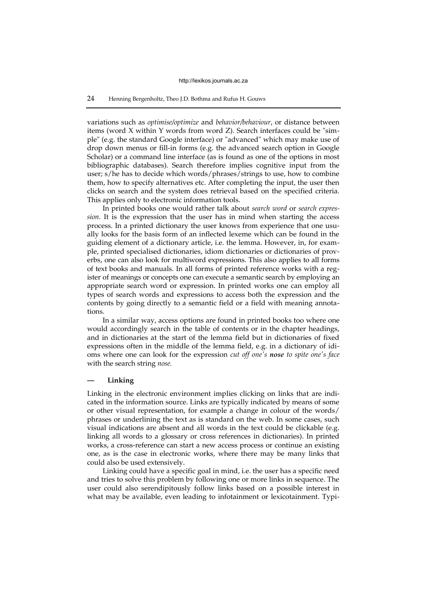# 24 Henning Bergenholtz, Theo J.D. Bothma and Rufus H. Gouws

variations such as *optimise/optimize* and *behavior/behaviour*, or distance between items (word X within Y words from word Z). Search interfaces could be "simple" (e.g. the standard Google interface) or "advanced" which may make use of drop down menus or fill-in forms (e.g. the advanced search option in Google Scholar) or a command line interface (as is found as one of the options in most bibliographic databases). Search therefore implies cognitive input from the user; s/he has to decide which words/phrases/strings to use, how to combine them, how to specify alternatives etc. After completing the input, the user then clicks on search and the system does retrieval based on the specified criteria. This applies only to electronic information tools.

In printed books one would rather talk about *search word* or *search expression*. It is the expression that the user has in mind when starting the access process. In a printed dictionary the user knows from experience that one usually looks for the basis form of an inflected lexeme which can be found in the guiding element of a dictionary article, i.e. the lemma. However, in, for example, printed specialised dictionaries, idiom dictionaries or dictionaries of proverbs, one can also look for multiword expressions. This also applies to all forms of text books and manuals. In all forms of printed reference works with a register of meanings or concepts one can execute a semantic search by employing an appropriate search word or expression. In printed works one can employ all types of search words and expressions to access both the expression and the contents by going directly to a semantic field or a field with meaning annotations.

In a similar way, access options are found in printed books too where one would accordingly search in the table of contents or in the chapter headings, and in dictionaries at the start of the lemma field but in dictionaries of fixed expressions often in the middle of the lemma field, e.g. in a dictionary of idioms where one can look for the expression *cut off one's nose to spite one's face*  with the search string *nose.* 

# **— Linking**

Linking in the electronic environment implies clicking on links that are indicated in the information source. Links are typically indicated by means of some or other visual representation, for example a change in colour of the words/ phrases or underlining the text as is standard on the web. In some cases, such visual indications are absent and all words in the text could be clickable (e.g. linking all words to a glossary or cross references in dictionaries). In printed works, a cross-reference can start a new access process or continue an existing one, as is the case in electronic works, where there may be many links that could also be used extensively.

Linking could have a specific goal in mind, i.e. the user has a specific need and tries to solve this problem by following one or more links in sequence. The user could also serendipitously follow links based on a possible interest in what may be available, even leading to infotainment or lexicotainment. Typi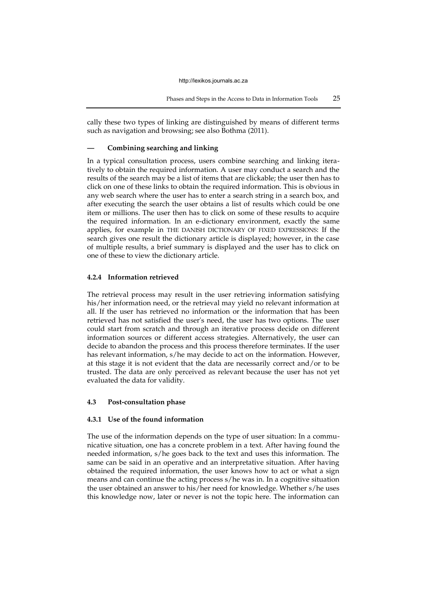cally these two types of linking are distinguished by means of different terms such as navigation and browsing; see also Bothma (2011).

## **— Combining searching and linking**

In a typical consultation process, users combine searching and linking iteratively to obtain the required information. A user may conduct a search and the results of the search may be a list of items that are clickable; the user then has to click on one of these links to obtain the required information. This is obvious in any web search where the user has to enter a search string in a search box, and after executing the search the user obtains a list of results which could be one item or millions. The user then has to click on some of these results to acquire the required information. In an e-dictionary environment, exactly the same applies, for example in THE DANISH DICTIONARY OF FIXED EXPRESSIONS: If the search gives one result the dictionary article is displayed; however, in the case of multiple results, a brief summary is displayed and the user has to click on one of these to view the dictionary article.

## **4.2.4 Information retrieved**

The retrieval process may result in the user retrieving information satisfying his/her information need, or the retrieval may yield no relevant information at all. If the user has retrieved no information or the information that has been retrieved has not satisfied the user's need, the user has two options. The user could start from scratch and through an iterative process decide on different information sources or different access strategies. Alternatively, the user can decide to abandon the process and this process therefore terminates. If the user has relevant information, s/he may decide to act on the information. However, at this stage it is not evident that the data are necessarily correct and/or to be trusted. The data are only perceived as relevant because the user has not yet evaluated the data for validity.

#### **4.3 Post-consultation phase**

# **4.3.1 Use of the found information**

The use of the information depends on the type of user situation: In a communicative situation, one has a concrete problem in a text. After having found the needed information, s/he goes back to the text and uses this information. The same can be said in an operative and an interpretative situation. After having obtained the required information, the user knows how to act or what a sign means and can continue the acting process s/he was in. In a cognitive situation the user obtained an answer to his/her need for knowledge. Whether s/he uses this knowledge now, later or never is not the topic here. The information can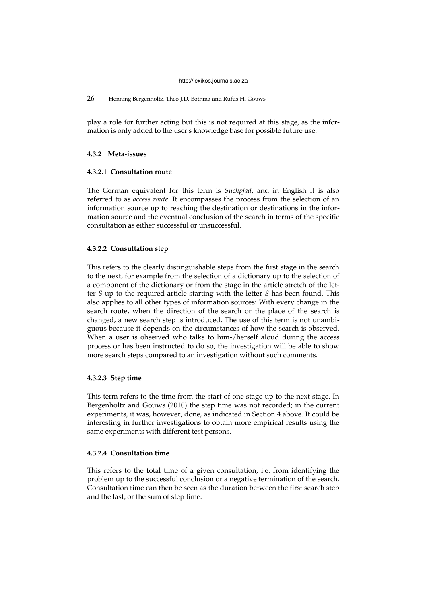play a role for further acting but this is not required at this stage, as the information is only added to the user's knowledge base for possible future use.

# **4.3.2 Meta-issues**

# **4.3.2.1 Consultation route**

The German equivalent for this term is *Suchpfad*, and in English it is also referred to as *access route*. It encompasses the process from the selection of an information source up to reaching the destination or destinations in the information source and the eventual conclusion of the search in terms of the specific consultation as either successful or unsuccessful.

# **4.3.2.2 Consultation step**

This refers to the clearly distinguishable steps from the first stage in the search to the next, for example from the selection of a dictionary up to the selection of a component of the dictionary or from the stage in the article stretch of the letter *S* up to the required article starting with the letter *S* has been found. This also applies to all other types of information sources: With every change in the search route, when the direction of the search or the place of the search is changed, a new search step is introduced. The use of this term is not unambiguous because it depends on the circumstances of how the search is observed. When a user is observed who talks to him-/herself aloud during the access process or has been instructed to do so, the investigation will be able to show more search steps compared to an investigation without such comments.

#### **4.3.2.3 Step time**

This term refers to the time from the start of one stage up to the next stage. In Bergenholtz and Gouws (2010) the step time was not recorded; in the current experiments, it was, however, done, as indicated in Section 4 above. It could be interesting in further investigations to obtain more empirical results using the same experiments with different test persons.

# **4.3.2.4 Consultation time**

This refers to the total time of a given consultation, i.e. from identifying the problem up to the successful conclusion or a negative termination of the search. Consultation time can then be seen as the duration between the first search step and the last, or the sum of step time.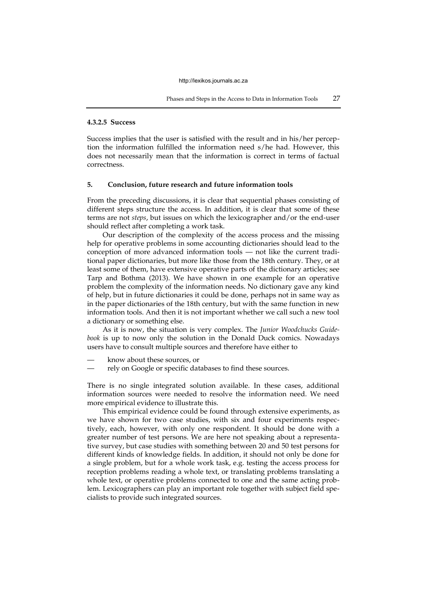## **4.3.2.5 Success**

Success implies that the user is satisfied with the result and in his/her perception the information fulfilled the information need s/he had. However, this does not necessarily mean that the information is correct in terms of factual correctness.

# **5. Conclusion, future research and future information tools**

From the preceding discussions, it is clear that sequential phases consisting of different steps structure the access. In addition, it is clear that some of these terms are not *steps*, but issues on which the lexicographer and/or the end-user should reflect after completing a work task.

Our description of the complexity of the access process and the missing help for operative problems in some accounting dictionaries should lead to the conception of more advanced information tools — not like the current traditional paper dictionaries, but more like those from the 18th century. They, or at least some of them, have extensive operative parts of the dictionary articles; see Tarp and Bothma (2013). We have shown in one example for an operative problem the complexity of the information needs. No dictionary gave any kind of help, but in future dictionaries it could be done, perhaps not in same way as in the paper dictionaries of the 18th century, but with the same function in new information tools. And then it is not important whether we call such a new tool a dictionary or something else.

As it is now, the situation is very complex. The *Junior Woodchucks Guidebook* is up to now only the solution in the Donald Duck comics. Nowadays users have to consult multiple sources and therefore have either to

- know about these sources, or
- rely on Google or specific databases to find these sources.

There is no single integrated solution available. In these cases, additional information sources were needed to resolve the information need. We need more empirical evidence to illustrate this.

This empirical evidence could be found through extensive experiments, as we have shown for two case studies, with six and four experiments respectively, each, however, with only one respondent. It should be done with a greater number of test persons. We are here not speaking about a representative survey, but case studies with something between 20 and 50 test persons for different kinds of knowledge fields. In addition, it should not only be done for a single problem, but for a whole work task, e.g. testing the access process for reception problems reading a whole text, or translating problems translating a whole text, or operative problems connected to one and the same acting problem. Lexicographers can play an important role together with subject field specialists to provide such integrated sources.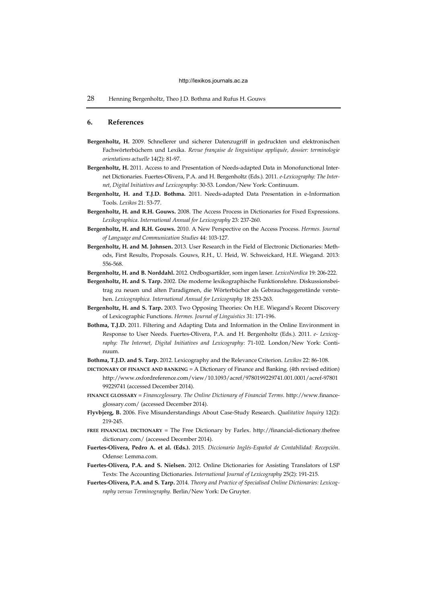28 Henning Bergenholtz, Theo J.D. Bothma and Rufus H. Gouws

## **6. References**

- **Bergenholtz, H.** 2009. Schnellerer und sicherer Datenzugriff in gedruckten und elektronischen Fachwörterbüchern und Lexika. *Revue française de linguistique appliquée, dossier: terminologie orientations actuelle* 14(2): 81-97.
- **Bergenholtz, H.** 2011. Access to and Presentation of Needs-adapted Data in Monofunctional Internet Dictionaries. Fuertes-Olivera, P.A. and H. Bergenholtz (Eds.). 2011. *e-Lexicography: The Internet, Digital Initiatives and Lexicography*: 30-53. London/New York: Continuum.
- **Bergenholtz, H. and T.J.D. Bothma.** 2011. Needs-adapted Data Presentation in e-Information Tools. *Lexikos* 21: 53-77.
- **Bergenholtz, H. and R.H. Gouws.** 2008. The Access Process in Dictionaries for Fixed Expressions. *Lexikographica. International Annual for Lexicography* 23: 237-260.
- **Bergenholtz, H. and R.H. Gouws.** 2010. A New Perspective on the Access Process. *Hermes. Journal of Language and Communication Studies* 44: 103-127.
- **Bergenholtz, H. and M. Johnsen.** 2013. User Research in the Field of Electronic Dictionaries: Methods, First Results, Proposals. Gouws, R.H., U. Heid, W. Schweickard, H.E. Wiegand. 2013: 556-568.
- **Bergenholtz, H. and B. Norddahl.** 2012. Ordbogsartikler, som ingen læser. *LexicoNordica* 19: 206-222.
- **Bergenholtz, H. and S. Tarp.** 2002. Die moderne lexikographische Funktionslehre. Diskussionsbeitrag zu neuen und alten Paradigmen, die Wörterbücher als Gebrauchsgegenstände verstehen. *Lexicographica. International Annual for Lexicography* 18: 253-263.
- **Bergenholtz, H. and S. Tarp.** 2003. Two Opposing Theories: On H.E. Wiegand's Recent Discovery of Lexicographic Functions. *Hermes. Journal of Linguistics* 31: 171-196.
- **Bothma, T.J.D.** 2011. Filtering and Adapting Data and Information in the Online Environment in Response to User Needs. Fuertes-Olivera, P.A. and H. Bergenholtz (Eds.). 2011. *e- Lexicography: The Internet, Digital Initiatives and Lexicography*: 71-102. London/New York: Continuum.
- **Bothma, T.J.D. and S. Tarp.** 2012. Lexicography and the Relevance Criterion. *Lexikos* 22: 86-108.
- **DICTIONARY OF FINANCE AND BANKING** = A Dictionary of Finance and Banking. (4th revised edition) http://www.oxfordreference.com/view/10.1093/acref/9780199229741.001.0001/acref-97801 99229741 (accessed December 2014).
- **FINANCE GLOSSARY** = *Financeglossary. The Online Dictionary of Financial Terms*. http://www.financeglossary.com/ (accessed December 2014).
- **Flyvbjerg, B.** 2006. Five Misunderstandings About Case-Study Research. *Qualitative Inquiry* 12(2): 219-245.
- **FREE FINANCIAL DICTIONARY** = The Free Dictionary by Farlex. http://financial-dictionary.thefree dictionary.com/ (accessed December 2014).
- **Fuertes-Olivera, Pedro A. et al. (Eds.).** 2015. *Diccionario Inglés-Español de Contabilidad: Recepción*. Odense: Lemma.com.
- **Fuertes-Olivera, P.A. and S. Nielsen.** 2012. Online Dictionaries for Assisting Translators of LSP Texts: The Accounting Dictionaries. *International Journal of Lexicography* 25(2): 191-215*.*
- **Fuertes-Olivera, P.A. and S. Tarp.** 2014. *Theory and Practice of Specialised Online Dictionaries: Lexicography versus Terminography.* Berlin/New York: De Gruyter.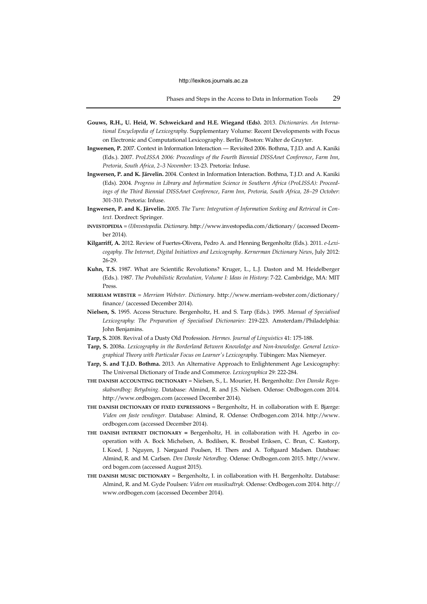- **Gouws, R.H., U. Heid, W. Schweickard and H.E. Wiegand (Eds).** 2013. *Dictionaries. An International Encyclopedia of Lexicography*. Supplementary Volume: Recent Developments with Focus on Electronic and Computational Lexicography. Berlin/Boston: Walter de Gruyter.
- **Ingwersen, P.** 2007. Context in Information Interaction Revisited 2006. Bothma, T.J.D. and A. Kaniki (Eds.). 2007. *ProLISSA 2006: Proceedings of the Fourth Biennial DISSAnet Conference*, *Farm Inn, Pretoria, South Africa, 2–3 November*: 13-23. Pretoria: Infuse.
- **Ingwersen, P. and K. Järvelin.** 2004. Context in Information Interaction. Bothma, T.J.D. and A. Kaniki (Eds). 2004. *Progress in Library and Information Science in Southern Africa (ProLISSA): Proceedings of the Third Biennial DISSAnet Conference*, *Farm Inn, Pretoria, South Africa, 28–29 October*: 301-310. Pretoria: Infuse.
- **Ingwersen, P. and K. Järvelin.** 2005. *The Turn: Integration of Information Seeking and Retrieval in Context.* Dordrect: Springer.
- **INVESTOPEDIA** = *(I)Investopedia. Dictionary*. http://www.investopedia.com/dictionar[y/ \(](http://www.investopedia.com/dictionary/)accessed December 2014).
- **Kilgarriff, A.** 2012. Review of Fuertes-Olivera, Pedro A. and Henning Bergenholtz (Eds.). 2011. *e-Lexicogaphy. The Internet, Digital Initiatives and Lexicography*. *Kernerman Dictionary News*, July 2012: 26-29.
- **Kuhn, T.S.** 1987. What are Scientific Revolutions? Kruger, L., L.J. Daston and M. Heidelberger (Eds.). 1987. *The Probabilistic Revolution, Volume I: Ideas in History*: 7-22. Cambridge, MA: MIT Press.
- **MERRIAM WEBSTER** = *Merriam Webster. Dictionary*. http://www.merriam-webster.com/dictionary/ finance/ (accessed December 2014).
- **Nielsen, S.** 1995. Access Structure. Bergenholtz, H. and S. Tarp (Eds.). 1995. *Manual of Specialised Lexicography: The Preparation of Specialised Dictionaries*: 219-223. Amsterdam/Philadelphia: John Benjamins.
- **Tarp, S.** 2008. Revival of a Dusty Old Profession. *Hermes. Journal of Linguistics* 41: 175-188.
- **Tarp, S.** 2008a. *Lexicography in the Borderland Between Knowledge and Non-knowledge. General Lexicographical Theory with Particular Focus on Learner's Lexicography.* Tübingen: Max Niemeyer.
- **Tarp, S. and T.J.D. Bothma.** 2013. An Alternative Approach to Enlightenment Age Lexicography: The Universal Dictionary of Trade and Commerce. *Lexicographica* 29: 222-284.
- **THE DANISH ACCOUNTING DICTIONARY** = Nielsen, S., L. Mourier, H. Bergenholtz: *Den Danske Regnskabsordbog: Betydning.* Database: Almind, R. and J.S. Nielsen. Odense: Ordbogen.com 2014. http://www.ordbogen.com (accessed December 2014).
- **THE DANISH DICTIONARY OF FIXED EXPRESSIONS** = Bergenholtz, H. in collaboration with E. Bjærge: *Viden om faste vendinger.* Database: Almind, R. Odense: Ordbogen.com 2014. http://www. ordbogen.com (accessed December 2014).
- **THE DANISH INTERNET DICTIONARY =** Bergenholtz, H. in collaboration with H. Agerbo in cooperation with A. Bock Michelsen, A. Bodilsen, K. Brosbøl Eriksen, C. Brun, C. Kastorp, I. Koed, J. Nguyen, J. Nørgaard Poulsen, H. Thers and A. Toftgaard Madsen. Database: Almind, R. and M. Carlsen. *Den Danske Netordbog.* Odense: Ordbogen.com 2015. http://www. ord bogen.com (accessed August 2015).
- **THE DANISH MUSIC DICTIONARY** = Bergenholtz, I. in collaboration with H. Bergenholtz. Database: Almind, R. and M. Gyde Poulsen: *Viden om musikudtryk.* Odense: Ordbogen.com 2014. http:// www.ordbogen.com (accessed December 2014).